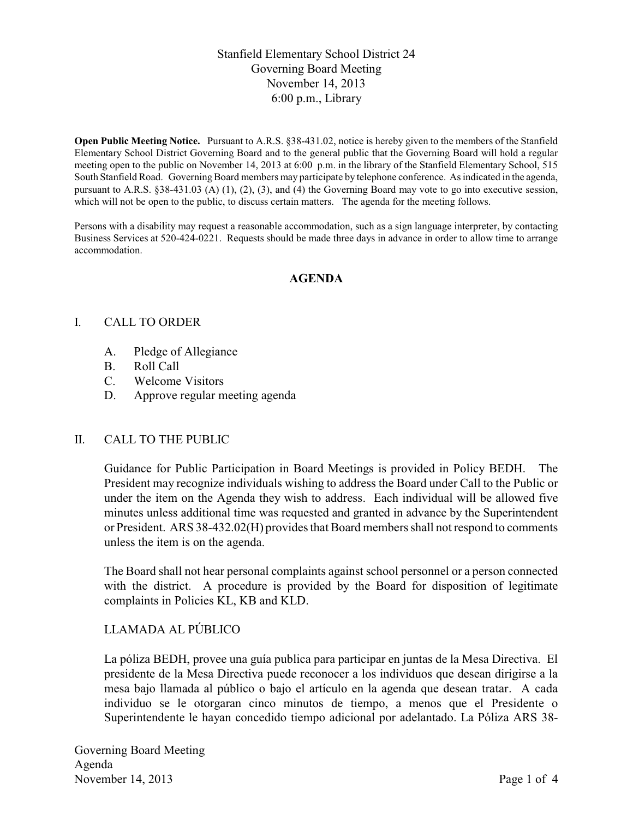# Stanfield Elementary School District 24 Governing Board Meeting November 14, 2013 6:00 p.m., Library

**Open Public Meeting Notice.** Pursuant to A.R.S. §38-431.02, notice is hereby given to the members of the Stanfield Elementary School District Governing Board and to the general public that the Governing Board will hold a regular meeting open to the public on November 14, 2013 at 6:00 p.m. in the library of the Stanfield Elementary School, 515 South Stanfield Road. Governing Board members may participate by telephone conference. As indicated in the agenda, pursuant to A.R.S. §38-431.03 (A) (1), (2), (3), and (4) the Governing Board may vote to go into executive session, which will not be open to the public, to discuss certain matters. The agenda for the meeting follows.

Persons with a disability may request a reasonable accommodation, such as a sign language interpreter, by contacting Business Services at 520-424-0221. Requests should be made three days in advance in order to allow time to arrange accommodation.

#### **AGENDA**

#### I. CALL TO ORDER

- A. Pledge of Allegiance
- B. Roll Call
- C. Welcome Visitors
- D. Approve regular meeting agenda

#### II. CALL TO THE PUBLIC

Guidance for Public Participation in Board Meetings is provided in Policy BEDH. The President may recognize individuals wishing to address the Board under Call to the Public or under the item on the Agenda they wish to address. Each individual will be allowed five minutes unless additional time was requested and granted in advance by the Superintendent or President. ARS 38-432.02(H) provides that Board members shall not respond to comments unless the item is on the agenda.

The Board shall not hear personal complaints against school personnel or a person connected with the district. A procedure is provided by the Board for disposition of legitimate complaints in Policies KL, KB and KLD.

## LLAMADA AL PÚBLICO

La póliza BEDH, provee una guía publica para participar en juntas de la Mesa Directiva. El presidente de la Mesa Directiva puede reconocer a los individuos que desean dirigirse a la mesa bajo llamada al público o bajo el artículo en la agenda que desean tratar. A cada individuo se le otorgaran cinco minutos de tiempo, a menos que el Presidente o Superintendente le hayan concedido tiempo adicional por adelantado. La Póliza ARS 38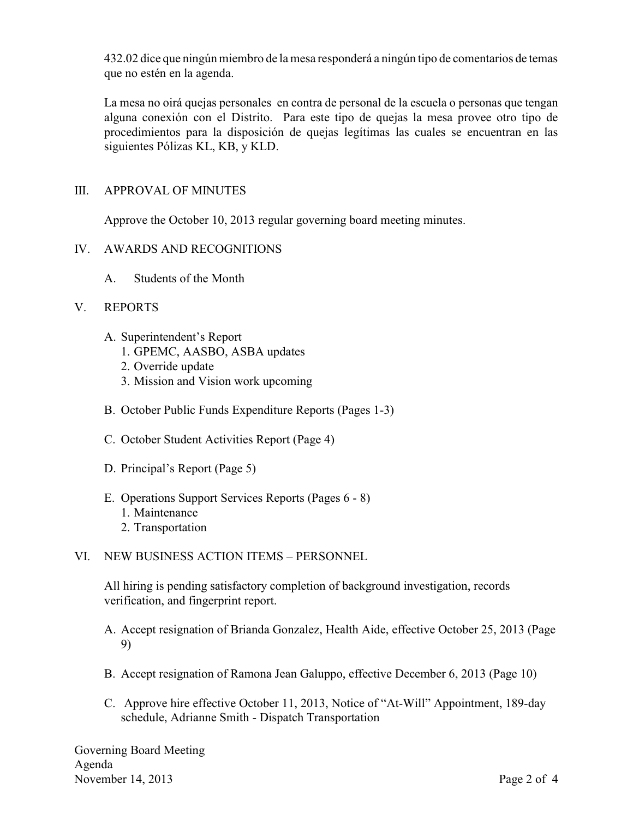432.02 dice que ningún miembro de la mesa responderá a ningún tipo de comentarios de temas que no estén en la agenda.

La mesa no oirá quejas personales en contra de personal de la escuela o personas que tengan alguna conexión con el Distrito. Para este tipo de quejas la mesa provee otro tipo de procedimientos para la disposición de quejas legítimas las cuales se encuentran en las siguientes Pólizas KL, KB, y KLD.

# III. APPROVAL OF MINUTES

Approve the October 10, 2013 regular governing board meeting minutes.

## IV. AWARDS AND RECOGNITIONS

A. Students of the Month

#### V. REPORTS

- A. Superintendent's Report
	- 1. GPEMC, AASBO, ASBA updates
	- 2. Override update
	- 3. Mission and Vision work upcoming
- B. October Public Funds Expenditure Reports (Pages 1-3)
- C. October Student Activities Report (Page 4)
- D. Principal's Report (Page 5)
- E. Operations Support Services Reports (Pages 6 8)
	- 1. Maintenance
	- 2. Transportation

## VI. NEW BUSINESS ACTION ITEMS – PERSONNEL

All hiring is pending satisfactory completion of background investigation, records verification, and fingerprint report.

- A. Accept resignation of Brianda Gonzalez, Health Aide, effective October 25, 2013 (Page 9)
- B. Accept resignation of Ramona Jean Galuppo, effective December 6, 2013 (Page 10)
- C. Approve hire effective October 11, 2013, Notice of "At-Will" Appointment, 189-day schedule, Adrianne Smith - Dispatch Transportation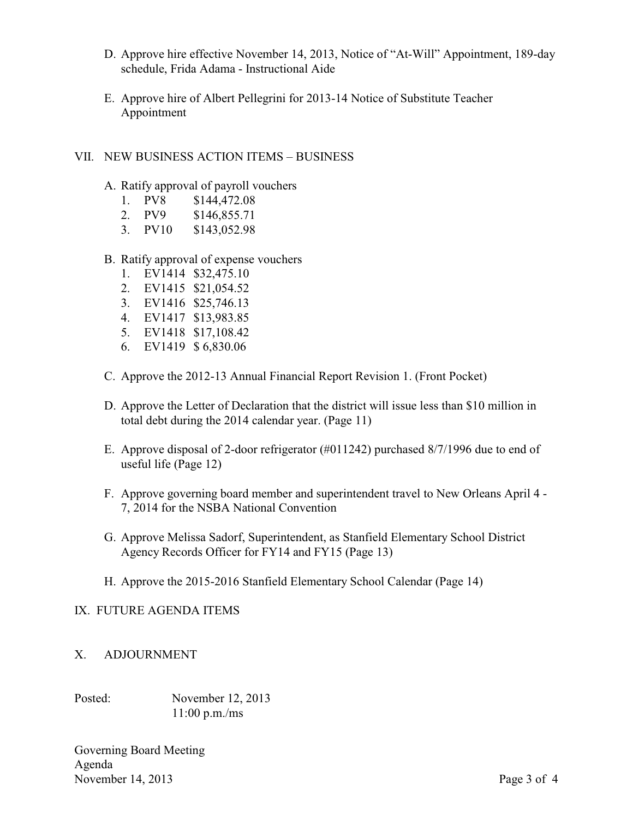- D. Approve hire effective November 14, 2013, Notice of "At-Will" Appointment, 189-day schedule, Frida Adama - Instructional Aide
- E. Approve hire of Albert Pellegrini for 2013-14 Notice of Substitute Teacher Appointment

## VII. NEW BUSINESS ACTION ITEMS – BUSINESS

- A. Ratify approval of payroll vouchers
	- 1. PV8 \$144,472.08
	- 2. PV9 \$146,855.71
	- 3. PV10 \$143,052.98
- B. Ratify approval of expense vouchers
	- 1. EV1414 \$32,475.10
	- 2. EV1415 \$21,054.52
	- 3. EV1416 \$25,746.13
	- 4. EV1417 \$13,983.85
	- 5. EV1418 \$17,108.42
	- 6. EV1419 \$ 6,830.06
- C. Approve the 2012-13 Annual Financial Report Revision 1. (Front Pocket)
- D. Approve the Letter of Declaration that the district will issue less than \$10 million in total debt during the 2014 calendar year. (Page 11)
- E. Approve disposal of 2-door refrigerator (#011242) purchased 8/7/1996 due to end of useful life (Page 12)
- F. Approve governing board member and superintendent travel to New Orleans April 4 7, 2014 for the NSBA National Convention
- G. Approve Melissa Sadorf, Superintendent, as Stanfield Elementary School District Agency Records Officer for FY14 and FY15 (Page 13)
- H. Approve the 2015-2016 Stanfield Elementary School Calendar (Page 14)

## IX. FUTURE AGENDA ITEMS

## X. ADJOURNMENT

Posted: November 12, 2013 11:00 p.m./ms

Governing Board Meeting Agenda November 14, 2013 Page 3 of 4